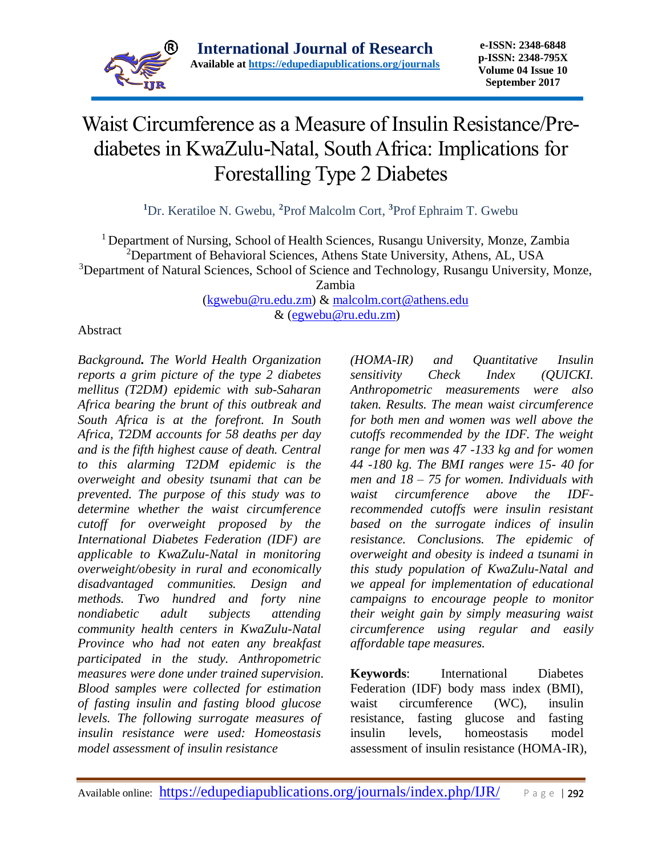

# Waist Circumference as a Measure of Insulin Resistance/Prediabetes in KwaZulu-Natal, South Africa: Implications for Forestalling Type 2 Diabetes

**<sup>1</sup>**Dr. Keratiloe N. Gwebu, **<sup>2</sup>**Prof Malcolm Cort, **<sup>3</sup>**Prof Ephraim T. Gwebu

<sup>1</sup> Department of Nursing, School of Health Sciences, Rusangu University, Monze, Zambia <sup>2</sup>Department of Behavioral Sciences, Athens State University, Athens, AL, USA <sup>3</sup>Department of Natural Sciences, School of Science and Technology, Rusangu University, Monze,

Zambia

[\(kgwebu@ru.edu.zm\)](mailto:kgwebu@ru.edu.zm) & [malcolm.cort@athens.edu](mailto:malcolm.cort@athens.edu) & [\(egwebu@ru.edu.zm\)](mailto:egwebu@ru.edu.zm)

#### Abstract

*Background. The World Health Organization reports a grim picture of the type 2 diabetes mellitus (T2DM) epidemic with sub-Saharan Africa bearing the brunt of this outbreak and South Africa is at the forefront. In South Africa, T2DM accounts for 58 deaths per day and is the fifth highest cause of death. Central to this alarming T2DM epidemic is the overweight and obesity tsunami that can be prevented. The purpose of this study was to determine whether the waist circumference cutoff for overweight proposed by the International Diabetes Federation (IDF) are applicable to KwaZulu-Natal in monitoring overweight/obesity in rural and economically disadvantaged communities. Design and methods. Two hundred and forty nine nondiabetic adult subjects attending community health centers in KwaZulu-Natal Province who had not eaten any breakfast participated in the study. Anthropometric measures were done under trained supervision. Blood samples were collected for estimation of fasting insulin and fasting blood glucose levels. The following surrogate measures of insulin resistance were used: Homeostasis model assessment of insulin resistance* 

*(HOMA-IR) and Quantitative Insulin sensitivity Check Index (QUICKI. Anthropometric measurements were also taken. Results. The mean waist circumference for both men and women was well above the cutoffs recommended by the IDF. The weight range for men was 47 -133 kg and for women 44 -180 kg. The BMI ranges were 15- 40 for men and 18 – 75 for women. Individuals with waist circumference above the IDFrecommended cutoffs were insulin resistant based on the surrogate indices of insulin resistance. Conclusions. The epidemic of overweight and obesity is indeed a tsunami in this study population of KwaZulu-Natal and we appeal for implementation of educational campaigns to encourage people to monitor their weight gain by simply measuring waist circumference using regular and easily affordable tape measures.*

**Keywords**: International Diabetes Federation (IDF) body mass index (BMI), waist circumference (WC), insulin resistance, fasting glucose and fasting insulin levels, homeostasis model assessment of insulin resistance (HOMA-IR),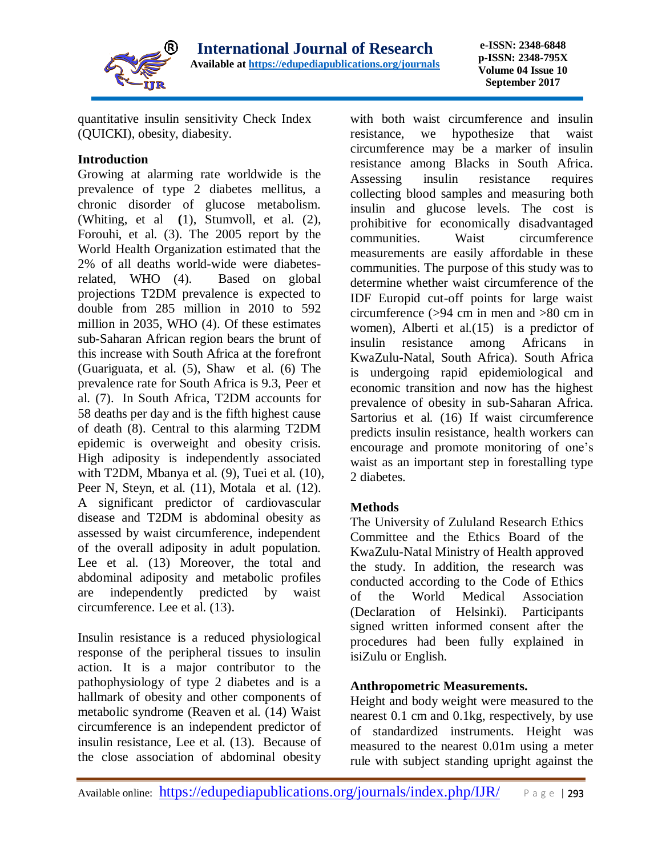

**e-ISSN: 2348-6848 p-ISSN: 2348-795X Volume 04 Issue 10 September 2017**

quantitative insulin sensitivity Check Index (QUICKI), obesity, diabesity.

## **Introduction**

Growing at alarming rate worldwide is the prevalence of type 2 diabetes mellitus, a chronic disorder of glucose metabolism. (Whiting, et al **(**1), Stumvoll, et al. (2), Forouhi, et al. (3). The 2005 report by the World Health Organization estimated that the 2% of all deaths world-wide were diabetesrelated, WHO (4). Based on global projections T2DM prevalence is expected to double from 285 million in 2010 to 592 million in 2035, WHO (4). Of these estimates sub-Saharan African region bears the brunt of this increase with South Africa at the forefront (Guariguata, et al. (5), Shaw et al. (6) The prevalence rate for South Africa is 9.3, Peer et al. (7). In South Africa, T2DM accounts for 58 deaths per day and is the fifth highest cause of death (8). Central to this alarming T2DM epidemic is overweight and obesity crisis. High adiposity is independently associated with T2DM, Mbanya et al. (9), Tuei et al. (10), Peer N, Steyn, et al. (11), Motala et al. (12). A significant predictor of cardiovascular disease and T2DM is abdominal obesity as assessed by waist circumference, independent of the overall adiposity in adult population. Lee et al. (13) Moreover, the total and abdominal adiposity and metabolic profiles are independently predicted by waist circumference. Lee et al. (13).

Insulin resistance is a reduced physiological response of the peripheral tissues to insulin action. It is a major contributor to the pathophysiology of type 2 diabetes and is a hallmark of obesity and other components of metabolic syndrome (Reaven et al. (14) Waist circumference is an independent predictor of insulin resistance, Lee et al. (13). Because of the close association of abdominal obesity with both waist circumference and insulin resistance, we hypothesize that waist circumference may be a marker of insulin resistance among Blacks in South Africa. Assessing insulin resistance requires collecting blood samples and measuring both insulin and glucose levels. The cost is prohibitive for economically disadvantaged communities. Waist circumference measurements are easily affordable in these communities. The purpose of this study was to determine whether waist circumference of the IDF Europid cut-off points for large waist circumference (>94 cm in men and >80 cm in women), Alberti et al. (15) is a predictor of insulin resistance among Africans in KwaZulu-Natal, South Africa). South Africa is undergoing rapid epidemiological and economic transition and now has the highest prevalence of obesity in sub-Saharan Africa. Sartorius et al. (16) If waist circumference predicts insulin resistance, health workers can encourage and promote monitoring of one's waist as an important step in forestalling type 2 diabetes.

# **Methods**

The University of Zululand Research Ethics Committee and the Ethics Board of the KwaZulu-Natal Ministry of Health approved the study. In addition, the research was conducted according to the Code of Ethics of the World Medical Association (Declaration of Helsinki). Participants signed written informed consent after the procedures had been fully explained in isiZulu or English.

# **Anthropometric Measurements.**

Height and body weight were measured to the nearest 0.1 cm and 0.1kg, respectively, by use of standardized instruments. Height was measured to the nearest 0.01m using a meter rule with subject standing upright against the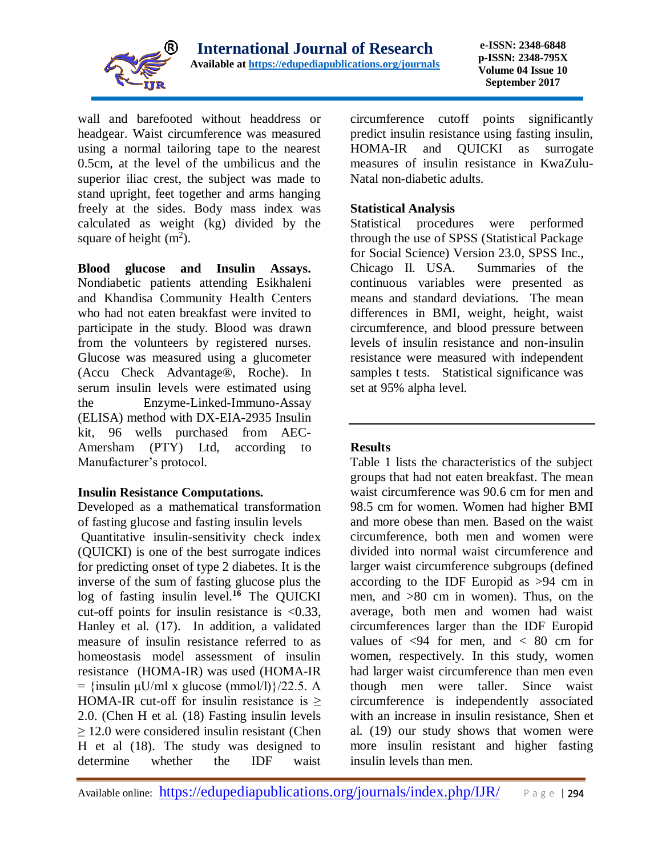

wall and barefooted without headdress or headgear. Waist circumference was measured using a normal tailoring tape to the nearest 0.5cm, at the level of the umbilicus and the superior iliac crest, the subject was made to stand upright, feet together and arms hanging freely at the sides. Body mass index was calculated as weight (kg) divided by the square of height  $(m^2)$ .

**Blood glucose and Insulin Assays.**  Nondiabetic patients attending Esikhaleni and Khandisa Community Health Centers who had not eaten breakfast were invited to participate in the study. Blood was drawn from the volunteers by registered nurses. Glucose was measured using a glucometer (Accu Check Advantage®, Roche). In serum insulin levels were estimated using the Enzyme-Linked-Immuno-Assay (ELISA) method with DX-EIA-2935 Insulin kit, 96 wells purchased from AEC-Amersham (PTY) Ltd, according to Manufacturer's protocol.

### **Insulin Resistance Computations.**

Developed as a mathematical transformation of fasting glucose and fasting insulin levels Quantitative insulin-sensitivity check index (QUICKI) is one of the best surrogate indices for predicting onset of type 2 diabetes. It is the inverse of the sum of fasting glucose plus the log of fasting insulin level.**<sup>16</sup>** The QUICKI cut-off points for insulin resistance is  $\langle 0.33, \rangle$ Hanley et al. (17). In addition, a validated measure of insulin resistance referred to as homeostasis model assessment of insulin resistance (HOMA-IR) was used (HOMA-IR =  ${\{insulin \mu U/ml \ x \ glucose \ (mmol/l)\}/22.5. A}$ HOMA-IR cut-off for insulin resistance is  $>$ 2.0. (Chen H et al. (18) Fasting insulin levels  $\geq$  12.0 were considered insulin resistant (Chen H et al (18). The study was designed to determine whether the IDF waist

circumference cutoff points significantly predict insulin resistance using fasting insulin, HOMA-IR and QUICKI as surrogate measures of insulin resistance in KwaZulu-Natal non-diabetic adults.

## **Statistical Analysis**

Statistical procedures were performed through the use of SPSS (Statistical Package for Social Science) Version 23.0, SPSS Inc., Chicago Il. USA. Summaries of the continuous variables were presented as means and standard deviations. The mean differences in BMI, weight, height, waist circumference, and blood pressure between levels of insulin resistance and non-insulin resistance were measured with independent samples t tests. Statistical significance was set at 95% alpha level.

### **Results**

Table 1 lists the characteristics of the subject groups that had not eaten breakfast. The mean waist circumference was 90.6 cm for men and 98.5 cm for women. Women had higher BMI and more obese than men. Based on the waist circumference, both men and women were divided into normal waist circumference and larger waist circumference subgroups (defined according to the IDF Europid as >94 cm in men, and >80 cm in women). Thus, on the average, both men and women had waist circumferences larger than the IDF Europid values of  $\langle 94 \rangle$  for men, and  $\langle 80 \rangle$  cm for women, respectively. In this study, women had larger waist circumference than men even though men were taller. Since waist circumference is independently associated with an increase in insulin resistance, Shen et al. (19) our study shows that women were more insulin resistant and higher fasting insulin levels than men.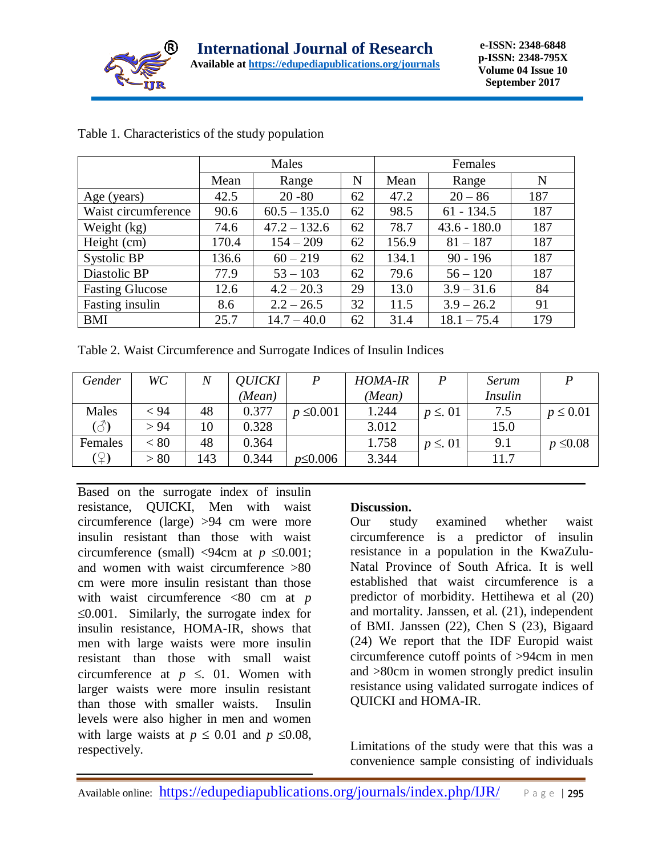

|                        |       | Males          |    | Females |                |     |  |
|------------------------|-------|----------------|----|---------|----------------|-----|--|
|                        | Mean  | Range          | N  | Mean    | Range          | N   |  |
| Age (years)            | 42.5  | $20 - 80$      | 62 | 47.2    | $20 - 86$      | 187 |  |
| Waist circumference    | 90.6  | $60.5 - 135.0$ | 62 | 98.5    | $61 - 134.5$   | 187 |  |
| Weight (kg)            | 74.6  | $47.2 - 132.6$ | 62 | 78.7    | $43.6 - 180.0$ | 187 |  |
| Height (cm)            | 170.4 | $154 - 209$    | 62 | 156.9   | $81 - 187$     | 187 |  |
| Systolic BP            | 136.6 | $60 - 219$     | 62 | 134.1   | $90 - 196$     | 187 |  |
| Diastolic BP           | 77.9  | $53 - 103$     | 62 | 79.6    | $56 - 120$     | 187 |  |
| <b>Fasting Glucose</b> | 12.6  | $4.2 - 20.3$   | 29 | 13.0    | $3.9 - 31.6$   | 84  |  |
| Fasting insulin        | 8.6   | $2.2 - 26.5$   | 32 | 11.5    | $3.9 - 26.2$   | 91  |  |
| <b>BMI</b>             | 25.7  | $14.7 - 40.0$  | 62 | 31.4    | $18.1 - 75.4$  | 179 |  |

## Table 1. Characteristics of the study population

Table 2. Waist Circumference and Surrogate Indices of Insulin Indices

| Gender                             | WC   | Ν   | <b>QUICKI</b> | P              | <b>HOMA-IR</b> | P           | Serum          |               |
|------------------------------------|------|-----|---------------|----------------|----------------|-------------|----------------|---------------|
|                                    |      |     | (Mean)        |                | (Mean)         |             | <i>Insulin</i> |               |
| Males                              | < 94 | 48  | 0.377         | $p \le 0.001$  | 1.244          | $p \leq 01$ | 7.5            | $p \leq 0.01$ |
| $\hat{\left( \mathcal{L}\right) }$ | > 94 | 10  | 0.328         |                | 3.012          |             | 15.0           |               |
| Females                            | < 80 | 48  | 0.364         |                | 1.758          | $p \leq 01$ | 9.1            | $p \leq 0.08$ |
| (우)                                | > 80 | 143 | 0.344         | $p \leq 0.006$ | 3.344          |             | 11.7           |               |

Based on the surrogate index of insulin resistance, QUICKI, Men with waist circumference (large) >94 cm were more insulin resistant than those with waist circumference (small)  $\langle 94 \text{cm} \atop 94 \text{cm} \atop 94 \text{cm} \atop 94 \text{cm} \atop 94 \text{cm} \atop 94 \text{cm} \atop 94 \text{cm} \atop 94 \text{cm} \atop 94 \text{cm} \atop 94 \text{cm} \atop 94 \text{cm} \atop 94 \text{cm} \atop 94 \text{cm} \atop 94 \text{cm} \atop 94 \text{cm} \atop 94 \text{cm} \atop 94 \text{cm} \atop 94 \text{cm} \$ and women with waist circumference >80 cm were more insulin resistant than those with waist circumference <80 cm at *p*   $\leq 0.001$ . Similarly, the surrogate index for insulin resistance, HOMA-IR, shows that men with large waists were more insulin resistant than those with small waist circumference at  $p \leq 01$ . Women with larger waists were more insulin resistant than those with smaller waists. Insulin levels were also higher in men and women with large waists at  $p \leq 0.01$  and  $p \leq 0.08$ , respectively.

# **Discussion.**

Our study examined whether waist circumference is a predictor of insulin resistance in a population in the KwaZulu-Natal Province of South Africa. It is well established that waist circumference is a predictor of morbidity. Hettihewa et al (20) and mortality. Janssen, et al. (21), independent of BMI. Janssen (22), Chen S (23), Bigaard (24) We report that the IDF Europid waist circumference cutoff points of >94cm in men and >80cm in women strongly predict insulin resistance using validated surrogate indices of QUICKI and HOMA-IR.

Limitations of the study were that this was a convenience sample consisting of individuals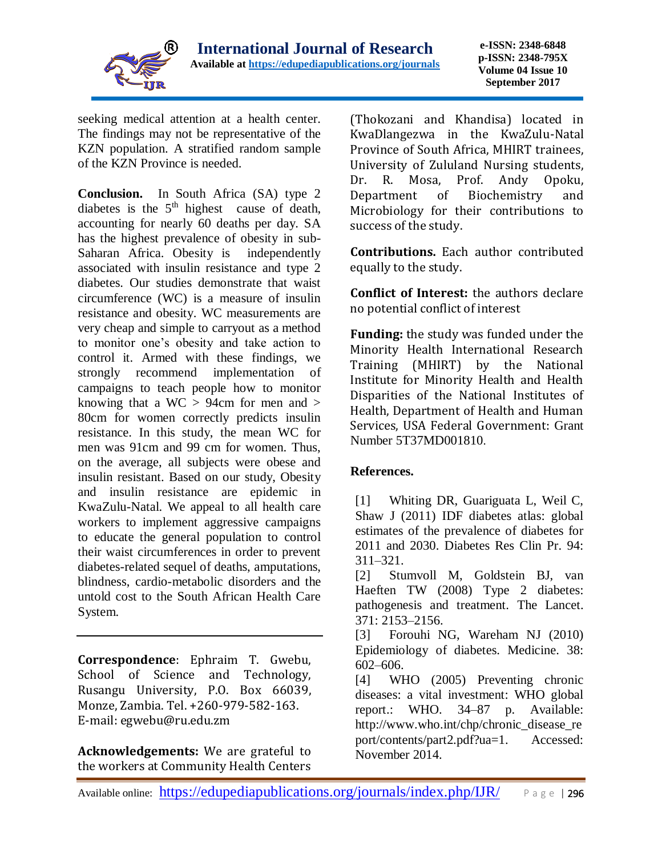

seeking medical attention at a health center. The findings may not be representative of the KZN population. A stratified random sample of the KZN Province is needed.

**Conclusion.** In South Africa (SA) type 2 diabetes is the  $5<sup>th</sup>$  highest cause of death, accounting for nearly 60 deaths per day. SA has the highest prevalence of obesity in sub-Saharan Africa. Obesity is independently associated with insulin resistance and type 2 diabetes. Our studies demonstrate that waist circumference (WC) is a measure of insulin resistance and obesity. WC measurements are very cheap and simple to carryout as a method to monitor one's obesity and take action to control it. Armed with these findings, we strongly recommend implementation of campaigns to teach people how to monitor knowing that a WC  $> 94$ cm for men and  $>$ 80cm for women correctly predicts insulin resistance. In this study, the mean WC for men was 91cm and 99 cm for women. Thus, on the average, all subjects were obese and insulin resistant. Based on our study, Obesity and insulin resistance are epidemic in KwaZulu-Natal. We appeal to all health care workers to implement aggressive campaigns to educate the general population to control their waist circumferences in order to prevent diabetes-related sequel of deaths, amputations, blindness, cardio-metabolic disorders and the untold cost to the South African Health Care System.

**Correspondence**: Ephraim T. Gwebu, School of Science and Technology, Rusangu University, P.O. Box 66039, Monze, Zambia. Tel. +260-979-582-163. E-mail: egwebu@ru.edu.zm

**Acknowledgements:** We are grateful to the workers at Community Health Centers

(Thokozani and Khandisa) located in KwaDlangezwa in the KwaZulu-Natal Province of South Africa, MHIRT trainees, University of Zululand Nursing students, Dr. R. Mosa, Prof. Andy Opoku, Department of Biochemistry and Microbiology for their contributions to success of the study.

**Contributions.** Each author contributed equally to the study.

**Conflict of Interest:** the authors declare no potential conflict of interest

**Funding:** the study was funded under the Minority Health International Research Training (MHIRT) by the National Institute for Minority Health and Health Disparities of the National Institutes of Health, Department of Health and Human Services, USA Federal Government: Grant Number 5T37MD001810.

# **References.**

[1] Whiting DR, Guariguata L, Weil C, Shaw J (2011) IDF diabetes atlas: global estimates of the prevalence of diabetes for 2011 and 2030. Diabetes Res Clin Pr. 94: 311–321.

[2] Stumvoll M, Goldstein BJ, van Haeften TW (2008) Type 2 diabetes: pathogenesis and treatment. The Lancet. 371: 2153–2156.

[3] Forouhi NG, Wareham NJ (2010) Epidemiology of diabetes. Medicine. 38: 602–606.

[4] WHO (2005) Preventing chronic diseases: a vital investment: WHO global report.: WHO. 34–87 p. Available: http://www.who.int/chp/chronic\_disease\_re port/contents/part2.pdf?ua=1. Accessed: November 2014.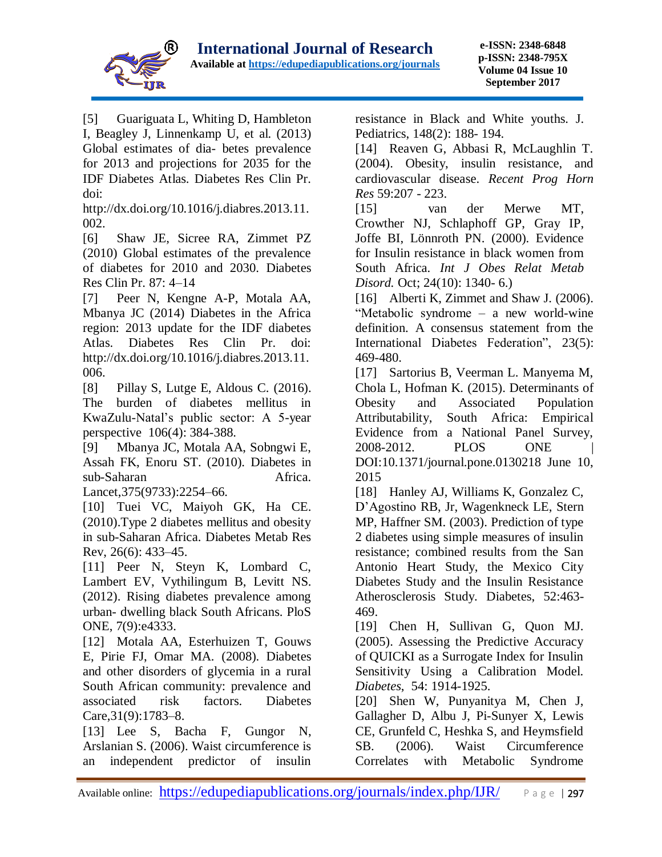

[5] Guariguata L, Whiting D, Hambleton I, Beagley J, Linnenkamp U, et al. (2013) Global estimates of dia- betes prevalence for 2013 and projections for 2035 for the IDF Diabetes Atlas. Diabetes Res Clin Pr. doi:

http://dx.doi.org/10.1016/j.diabres.2013.11. 002.

[6] Shaw JE, Sicree RA, Zimmet PZ (2010) Global estimates of the prevalence of diabetes for 2010 and 2030. Diabetes Res Clin Pr. 87: 4–14

[7] Peer N, Kengne A-P, Motala AA, Mbanya JC (2014) Diabetes in the Africa region: 2013 update for the IDF diabetes Atlas. Diabetes Res Clin Pr. doi: http://dx.doi.org/10.1016/j.diabres.2013.11. 006.

[8] Pillay S, Lutge E, Aldous C. (2016). The burden of diabetes mellitus in KwaZulu-Natal's public sector: A 5-year perspective 106(4): 384-388.

[9] Mbanya JC, Motala AA, Sobngwi E, Assah FK, Enoru ST. (2010). Diabetes in sub-Saharan Africa.

Lancet,375(9733):2254–66.

[10] Tuei VC, Maiyoh GK, Ha CE. (2010).Type 2 diabetes mellitus and obesity in sub-Saharan Africa. Diabetes Metab Res Rev, 26(6): 433–45.

[11] Peer N, Steyn K, Lombard C, Lambert EV, Vythilingum B, Levitt NS. (2012). Rising diabetes prevalence among urban- dwelling black South Africans. PloS ONE, 7(9):e4333.

[12] Motala AA, Esterhuizen T, Gouws E, Pirie FJ, Omar MA. (2008). Diabetes and other disorders of glycemia in a rural South African community: prevalence and associated risk factors. Diabetes Care,31(9):1783–8.

[13] Lee S, Bacha F, Gungor N, Arslanian S. (2006). Waist circumference is an independent predictor of insulin resistance in Black and White youths. J. Pediatrics, 148(2): 188- 194.

[14] Reaven G, Abbasi R, McLaughlin T. (2004). Obesity, insulin resistance, and cardiovascular disease. *Recent Prog Horn Res* 59:207 - 223.

[15] [van der Merwe MT,](http://www.ncbi.nlm.nih.gov/pubmed?term=%22van%20der%20Merwe%20MT%22%5BAuthor%5D) [Crowther NJ,](http://www.ncbi.nlm.nih.gov/pubmed?term=%22Crowther%20NJ%22%5BAuthor%5D) [Schlaphoff GP,](http://www.ncbi.nlm.nih.gov/pubmed?term=%22Schlaphoff%20GP%22%5BAuthor%5D) [Gray IP,](http://www.ncbi.nlm.nih.gov/pubmed?term=%22Gray%20IP%22%5BAuthor%5D) [Joffe BI,](http://www.ncbi.nlm.nih.gov/pubmed?term=%22Joffe%20BI%22%5BAuthor%5D) [Lönnroth PN.](http://www.ncbi.nlm.nih.gov/pubmed?term=%22L%C3%B6nnroth%20PN%22%5BAuthor%5D) (2000). Evidence for Insulin resistance in black women from South Africa. *Int J Obes Relat Metab Disord.* Oct; 24(10): 1340- 6.)

[16] Alberti K, Zimmet and Shaw J. (2006). "Metabolic syndrome – a new world-wine definition. A consensus statement from the International Diabetes Federation", 23(5): 469-480.

[17] Sartorius B, Veerman L. Manyema M, Chola L, Hofman K. (2015). Determinants of Obesity and Associated Population Attributability, South Africa: Empirical Evidence from a National Panel Survey, 2008-2012. PLOS ONE | DOI:10.1371/journal.pone.0130218 June 10, 2015

[18] Hanley AJ, Williams K, Gonzalez C, D'Agostino RB, Jr, Wagenkneck LE, Stern MP, Haffner SM. (2003). Prediction of type 2 diabetes using simple measures of insulin resistance; combined results from the San Antonio Heart Study, the Mexico City Diabetes Study and the Insulin Resistance Atherosclerosis Study. Diabetes, 52:463- 469.

[19] Chen H, Sullivan G, Quon MJ. (2005). Assessing the Predictive Accuracy of QUICKI as a Surrogate Index for Insulin Sensitivity Using a Calibration Model. *Diabetes*, 54: 1914-1925.

[20] Shen W, Punyanitya M, Chen J, Gallagher D, Albu J, Pi-Sunyer X, Lewis CE, Grunfeld C, Heshka S, and Heymsfield SB. (2006). Waist Circumference Correlates with Metabolic Syndrome